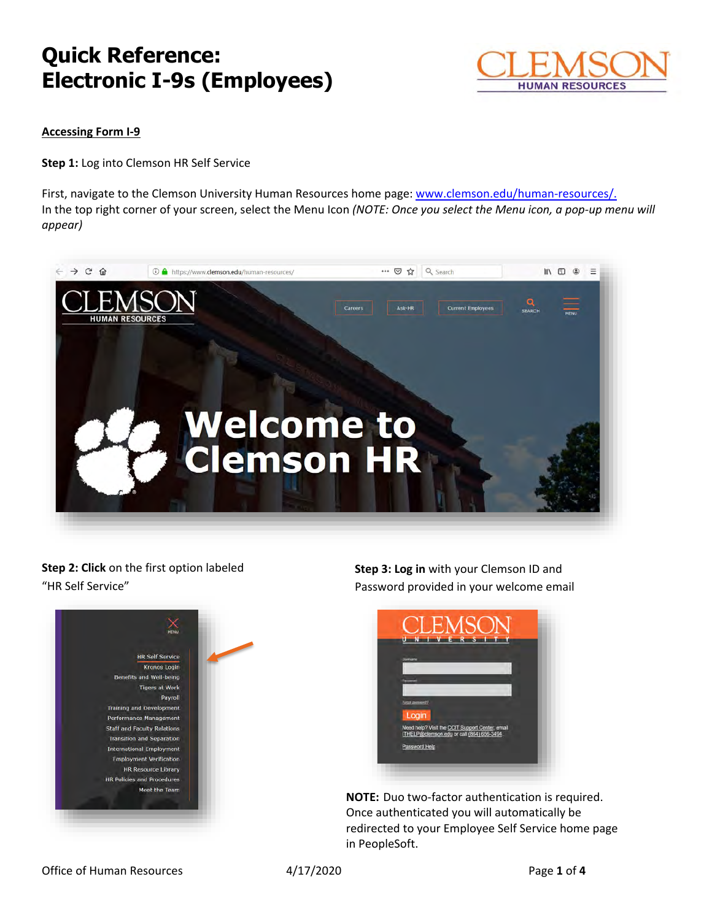

### **Accessing Form I-9**

**Step 1:** Log into Clemson HR Self Service

First, navigate to the Clemson University Human Resources home page: [www.clemson.edu/human-resources/.](http://www.clemson.edu/human-resources/) In the top right corner of your screen, select the Menu Icon *(NOTE: Once you select the Menu icon, a pop-up menu will appear)* 



### **Step 2: Click** on the first option labeled "HR Self Service"



**Step 3: Log in** with your Clemson ID and Password provided in your welcome email



**NOTE:** Duo two-factor authentication is required. Once authenticated you will automatically be redirected to your Employee Self Service home page in PeopleSoft.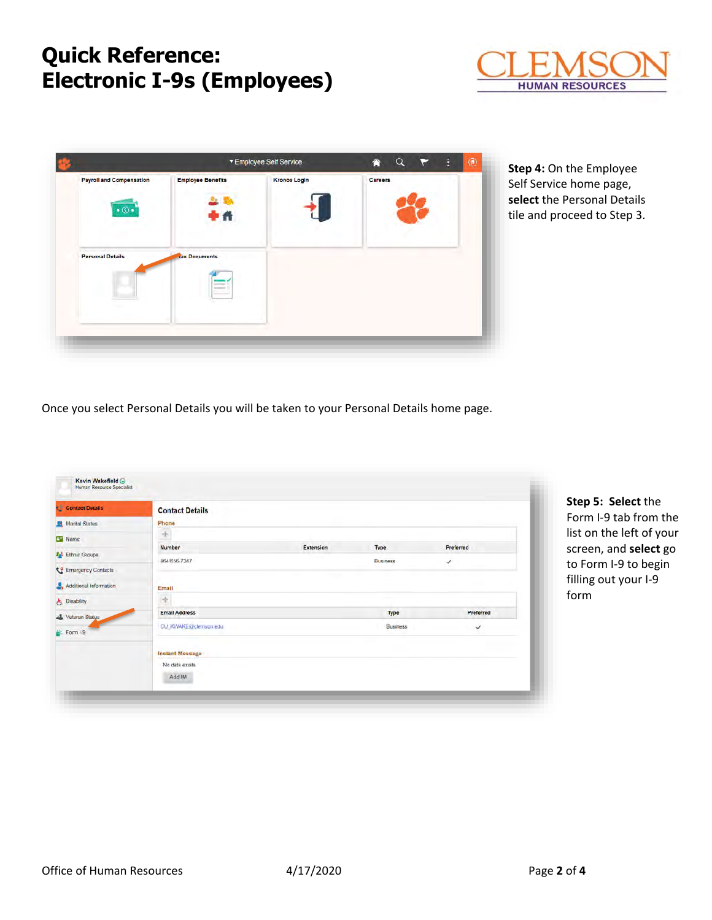

| <b>Payroll and Compensation</b><br>$\cdot$ $\circ$ | <b>Employee Benefits</b>                                                                                                                                                                                                                                                                                                                                                                                                                                                         | <b>Kronos Login</b> | Careers |  |
|----------------------------------------------------|----------------------------------------------------------------------------------------------------------------------------------------------------------------------------------------------------------------------------------------------------------------------------------------------------------------------------------------------------------------------------------------------------------------------------------------------------------------------------------|---------------------|---------|--|
| <b>Personal Details</b>                            | Рñ<br><b>Tax Documents</b>                                                                                                                                                                                                                                                                                                                                                                                                                                                       |                     |         |  |
|                                                    | __<br>$\frac{1}{2} \left( \frac{1}{2} \right) \left( \frac{1}{2} \right) \left( \frac{1}{2} \right) \left( \frac{1}{2} \right) \left( \frac{1}{2} \right) \left( \frac{1}{2} \right) \left( \frac{1}{2} \right) \left( \frac{1}{2} \right) \left( \frac{1}{2} \right) \left( \frac{1}{2} \right) \left( \frac{1}{2} \right) \left( \frac{1}{2} \right) \left( \frac{1}{2} \right) \left( \frac{1}{2} \right) \left( \frac{1}{2} \right) \left( \frac{1}{2} \right) \left( \frac$ |                     |         |  |
|                                                    |                                                                                                                                                                                                                                                                                                                                                                                                                                                                                  |                     |         |  |

**Step 4:** On the Employee Self Service home page, **select** the Personal Details tile and proceed to Step 3.

Once you select Personal Details you will be taken to your Personal Details home page.

| Contact Details         | <b>Contact Details</b> |           |                 |              |  |
|-------------------------|------------------------|-----------|-----------------|--------------|--|
| <b>Marital Status</b>   | Phone                  |           |                 |              |  |
| Name                    | $\rightarrow$          |           |                 |              |  |
| <b>AN</b> Ethnic Groups | Number                 | Extension | Type            | Preferred    |  |
|                         | 864/656-7247           |           | <b>Business</b> | ✓            |  |
| Emergency Contacts      |                        |           |                 |              |  |
| Additional Information  | Email                  |           |                 |              |  |
| & Disability            | ÷                      |           |                 |              |  |
| G Veteran Status        | <b>Email Address</b>   |           | Type            | Preferred    |  |
| Form I-9                | CU_KWAKE@clemson.edu   |           | <b>Busmess</b>  | $\checkmark$ |  |
|                         | Instant Message        |           |                 |              |  |
|                         | No data exists.        |           |                 |              |  |
|                         | Add IM                 |           |                 |              |  |

**S: Select** the I-9 tab from the the left of your n, and **select** go m I-9 to begin out your I-9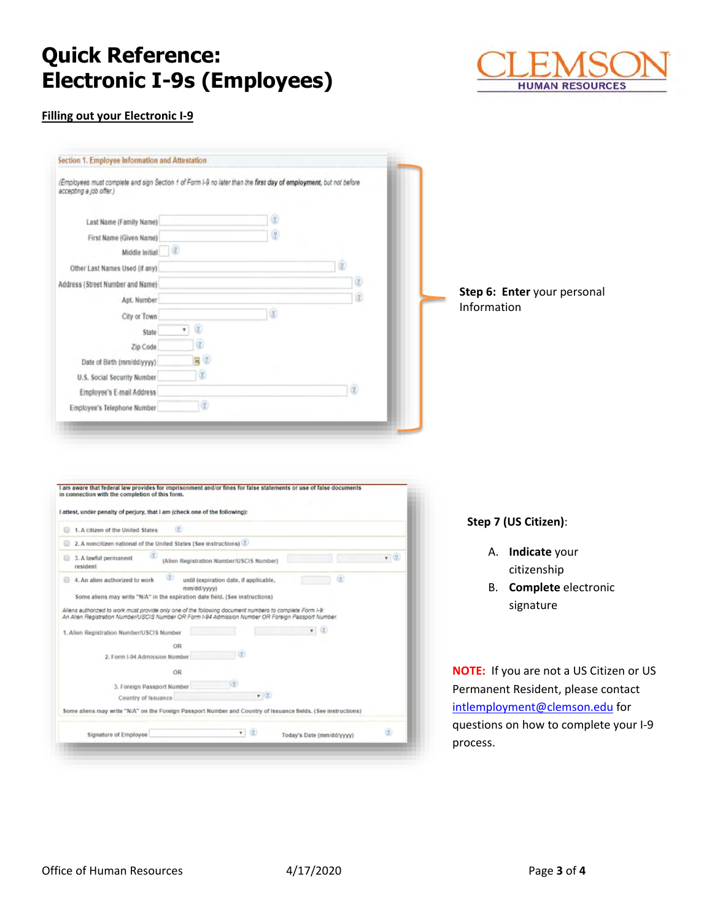

### **Filling out your Electronic I-9**



| I attest, under penalty of perjury, that I am (check one of the following): |                                                                                                                                                                                                                |                    |  |  |  |  |
|-----------------------------------------------------------------------------|----------------------------------------------------------------------------------------------------------------------------------------------------------------------------------------------------------------|--------------------|--|--|--|--|
|                                                                             | 2<br>1. A citizen of the United States                                                                                                                                                                         |                    |  |  |  |  |
|                                                                             | 2. A noncitizen national of the United States (See instructions) ?                                                                                                                                             |                    |  |  |  |  |
|                                                                             | $\left( 2\right)$<br>3. A lawful permanent<br>(Alien Registration Number/USCIS Number)<br>resident                                                                                                             | $\mathbf{v}$ $(2)$ |  |  |  |  |
|                                                                             | $\bf{r}$<br>(2)<br>4. An alien authorized to work<br>until (expiration date, if applicable,<br>mm/dd/yyyy)                                                                                                     |                    |  |  |  |  |
|                                                                             | Some aliens may write "N/A" in the expiration date field. (See instructions)                                                                                                                                   |                    |  |  |  |  |
|                                                                             | Allens authorized to work must provide only one of the following document numbers to complete Form I-9:<br>An Alien Registration Number/USCIS Number OR Form I-94 Admission Number OR Foreign Passport Number. |                    |  |  |  |  |
|                                                                             |                                                                                                                                                                                                                |                    |  |  |  |  |
|                                                                             | 1. Alien Registration Number/USCIS Number                                                                                                                                                                      |                    |  |  |  |  |
|                                                                             | OR                                                                                                                                                                                                             |                    |  |  |  |  |
|                                                                             | 2. Form I-94 Admission Number                                                                                                                                                                                  |                    |  |  |  |  |
|                                                                             | OR                                                                                                                                                                                                             |                    |  |  |  |  |
|                                                                             | $\sqrt{2}$<br>3. Foreign Passport Number                                                                                                                                                                       |                    |  |  |  |  |
|                                                                             | (2)<br>Country of Issuance                                                                                                                                                                                     |                    |  |  |  |  |
|                                                                             | Some aliens may write "N/A" on the Foreign Passport Number and Country of Issuance fields. (See instructions)                                                                                                  |                    |  |  |  |  |

#### **Step 7 (US Citizen)**:

- A. **Indicate** your citizenship
- B. **Complete** electronic signature

**NOTE:** If you are not a US Citizen or US Permanent Resident, please contact [intlemployment@clemson.edu](mailto:intlemployment@clemson.edu) for questions on how to complete your I-9 process.